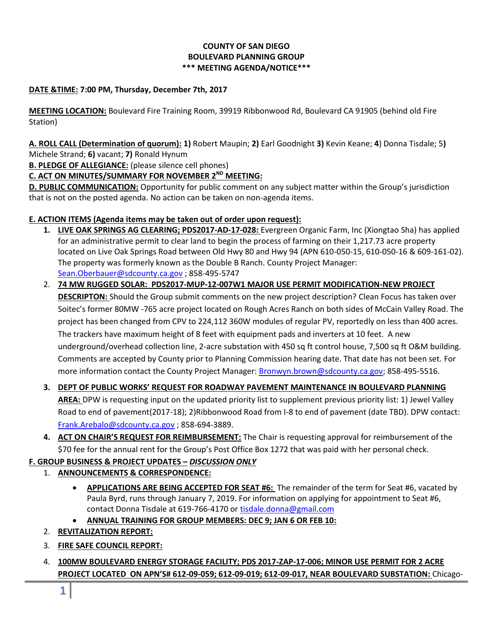# **COUNTY OF SAN DIEGO BOULEVARD PLANNING GROUP \*\*\* MEETING AGENDA/NOTICE\*\*\***

## **DATE &TIME: 7:00 PM, Thursday, December 7th, 2017**

**MEETING LOCATION:** Boulevard Fire Training Room, 39919 Ribbonwood Rd, Boulevard CA 91905 (behind old Fire Station)

**A. ROLL CALL (Determination of quorum): 1)** Robert Maupin; **2)** Earl Goodnight **3)** Kevin Keane; **4**) Donna Tisdale; 5**)**  Michele Strand; **6)** vacant; **7)** Ronald Hynum

**B. PLEDGE OF ALLEGIANCE:** (please silence cell phones)

## **C. ACT ON MINUTES/SUMMARY FOR NOVEMBER 2ND MEETING:**

**D. PUBLIC COMMUNICATION:** Opportunity for public comment on any subject matter within the Group's jurisdiction that is not on the posted agenda. No action can be taken on non-agenda items.

## **E. ACTION ITEMS (Agenda items may be taken out of order upon request):**

- **1. LIVE OAK SPRINGS AG CLEARING; PDS2017-AD-17-028:** Evergreen Organic Farm, Inc (Xiongtao Sha) has applied for an administrative permit to clear land to begin the process of farming on their 1,217.73 acre property located on Live Oak Springs Road between Old Hwy 80 and Hwy 94 (APN 610-050-15, 610-050-16 & 609-161-02). The property was formerly known as the Double B Ranch. County Project Manager: [Sean.Oberbauer@sdcounty.ca.gov](mailto:Sean.Oberbauer@sdcounty.ca.gov) ; 858-495-5747
- 2. **74 MW RUGGED SOLAR: PDS2017-MUP-12-007W1 MAJOR USE PERMIT MODIFICATION-NEW PROJECT DESCRIPTON:** Should the Group submit comments on the new project description? Clean Focus has taken over Soitec's former 80MW -765 acre project located on Rough Acres Ranch on both sides of McCain Valley Road. The project has been changed from CPV to 224,112 360W modules of regular PV, reportedly on less than 400 acres. The trackers have maximum height of 8 feet with equipment pads and inverters at 10 feet. A new underground/overhead collection line, 2-acre substation with 450 sq ft control house, 7,500 sq ft O&M building. Comments are accepted by County prior to Planning Commission hearing date. That date has not been set. For more information contact the County Project Manager[: Bronwyn.brown@sdcounty.ca.gov;](mailto:Bronwyn.brown@sdcounty.ca.gov) 858-495-5516.
- **3. DEPT OF PUBLIC WORKS' REQUEST FOR ROADWAY PAVEMENT MAINTENANCE IN BOULEVARD PLANNING AREA:** DPW is requesting input on the updated priority list to supplement previous priority list: 1) Jewel Valley Road to end of pavement(2017-18); 2)Ribbonwood Road from I-8 to end of pavement (date TBD). DPW contact: [Frank.Arebalo@sdcounty.ca.gov](mailto:Frank.Arebalo@sdcounty.ca.gov) ; 858-694-3889.
- **4. ACT ON CHAIR'S REQUEST FOR REIMBURSEMENT:** The Chair is requesting approval for reimbursement of the \$70 fee for the annual rent for the Group's Post Office Box 1272 that was paid with her personal check.

## **F. GROUP BUSINESS & PROJECT UPDATES –** *DISCUSSION ONLY*

## 1. **ANNOUNCEMENTS & CORRESPONDENCE:**

- **APPLICATIONS ARE BEING ACCEPTED FOR SEAT #6:** The remainder of the term for Seat #6, vacated by Paula Byrd, runs through January 7, 2019. For information on applying for appointment to Seat #6, contact Donna Tisdale at 619-766-4170 or [tisdale.donna@gmail.com](mailto:tisdale.donna@gmail.com)
- **ANNUAL TRAINING FOR GROUP MEMBERS: DEC 9; JAN 6 OR FEB 10:**
- 2. **REVITALIZATION REPORT:**
- 3. **FIRE SAFE COUNCIL REPORT:**
- 4. **100MW BOULEVARD ENERGY STORAGE FACILITY; PDS 2017-ZAP-17-006; MINOR USE PERMIT FOR 2 ACRE PROJECT LOCATED ON APN'S# 612-09-059; 612-09-019; 612-09-017, NEAR BOULEVARD SUBSTATION:** Chicago-